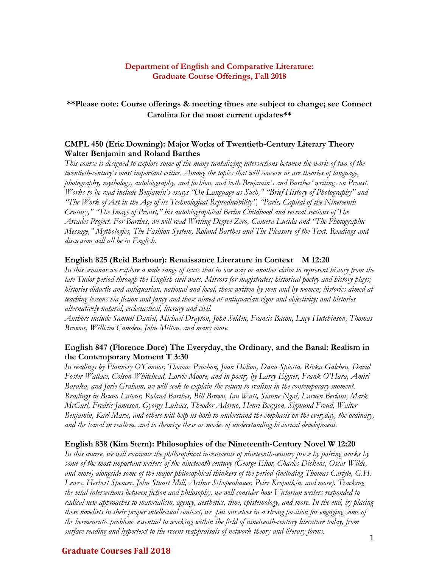## **Department of English and Comparative Literature: Graduate Course Offerings, Fall 2018**

# **\*\*Please note: Course offerings & meeting times are subject to change; see Connect Carolina for the most current updates\*\***

## **CMPL 450 (Eric Downing): Major Works of Twentieth-Century Literary Theory Walter Benjamin and Roland Barthes**

*This course is designed to explore some of the many tantalizing intersections between the work of two of the twentieth-century's most important critics. Among the topics that will concern us are theories of language, photography, mythology, autobiography, and fashion, and both Benjamin's and Barthes' writings on Proust. Works to be read include Benjamin's essays "On Language as Such," "Brief History of Photography" and "The Work of Art in the Age of its Technological Reproducibility", "Paris, Capital of the Nineteenth Century," "The Image of Proust," his autobiographical Berlin Childhood and several sections of The Arcades Project. For Barthes, we will read Writing Degree Zero, Camera Lucida and "The Photographic Message," Mythologies, The Fashion System, Roland Barthes and The Pleasure of the Text. Readings and discussion will all be in English.* 

### **English 825 (Reid Barbour): Renaissance Literature in Context M 12:20**

*In this seminar we explore a wide range of texts that in one way or another claim to represent history from the late Tudor period through the English civil wars. Mirrors for magistrates; historical poetry and history plays; histories didactic and antiquarian, national and local, those written by men and by women; histories aimed at teaching lessons via fiction and fancy and those aimed at antiquarian rigor and objectivity; and histories alternatively natural, ecclesiastical, literary and civil.* 

*Authors include Samuel Daniel, Michael Drayton, John Selden, Francis Bacon, Lucy Hutchinson, Thomas Browne, William Camden, John Milton, and many more.* 

# **English 847 (Florence Dore) The Everyday, the Ordinary, and the Banal: Realism in the Contemporary Moment T 3:30**

*In readings by Flannery O'Connor, Thomas Pynchon, Joan Didion, Dana Spiotta, Rivka Galchen, David Foster Wallace, Colson Whitehead, Lorrie Moore, and in poetry by Larry Eigner, Frank O'Hara, Amiri Baraka, and Jorie Graham, we will seek to explain the return to realism in the contemporary moment. Readings in Bruno Latour, Roland Barthes, Bill Brown, Ian Watt, Sianne Ngai, Laruen Berlant, Mark McGurl, Fredric Jameson, Gyorgy Lukacs, Theodor Adorno, Henri Bergson, Sigmund Freud, Walter Benjamin, Karl Marx, and others will help us both to understand the emphasis on the everyday, the ordinary, and the banal in realism, and to theorize these as modes of understanding historical development.* 

#### **English 838 (Kim Stern): Philosophies of the Nineteenth-Century Novel W 12:20**

*In this course, we will excavate the philosophical investments of nineteenth-century prose by pairing works by some of the most important writers of the nineteenth century (George Eliot, Charles Dickens, Oscar Wilde, and more) alongside some of the major philosophical thinkers of the period (including Thomas Carlyle, G.H. Lewes, Herbert Spencer, John Stuart Mill, Arthur Schopenhauer, Peter Kropotkin, and more). Tracking the vital intersections between fiction and philosophy, we will consider how Victorian writers responded to radical new approaches to materialism, agency, aesthetics, time, epistemology, and more. In the end, by placing these novelists in their proper intellectual context, we put ourselves in a strong position for engaging some of the hermeneutic problems essential to working within the field of nineteenth-century literature today, from surface reading and hypertext to the recent reappraisals of network theory and literary forms.* 

### **Graduate Courses Fall 2018**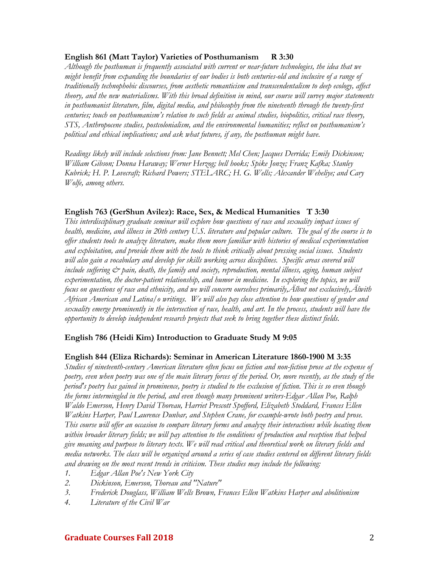### **English 861 (Matt Taylor) Varieties of Posthumanism R 3:30**

*Although the posthuman is frequently associated with current or near-future technologies, the idea that we might benefit from expanding the boundaries of our bodies is both centuries-old and inclusive of a range of traditionally technophobic discourses, from aesthetic romanticism and transcendentalism to deep ecology, affect theory, and the new materialisms. With this broad definition in mind, our course will survey major statements in posthumanist literature, film, digital media, and philosophy from the nineteenth through the twenty-first centuries; touch on posthumanism's relation to such fields as animal studies, biopolitics, critical race theory, STS, Anthropocene studies, postcolonialism, and the environmental humanities; reflect on posthumanism's political and ethical implications; and ask what futures, if any, the posthuman might have.* 

*Readings likely will include selections from: Jane Bennett; Mel Chen; Jacques Derrida; Emily Dickinson; William Gibson; Donna Haraway; Werner Herzog; bell hooks; Spike Jonze; Franz Kafka; Stanley Kubrick; H. P. Lovecraft; Richard Powers; STELARC; H. G. Wells; Alexander Weheliye; and Cary Wolfe, among others.* 

## **English 763 (GerShun Avilez): Race, Sex, & Medical Humanities T 3:30**

*This interdisciplinary graduate seminar will explore how questions of race and sexuality impact issues of health, medicine, and illness in 20th century U.S. literature and popular culture. The goal of the course is to offer students tools to analyze literature, make them more familiar with histories of medical experimentation and exploitation, and provide them with the tools to think critically about pressing social issues. Students will also gain a vocabulary and develop for skills working across disciplines. Specific areas covered will*  include suffering  $\mathcal{O}$  pain, death, the family and society, reproduction, mental illness, aging, human subject *experimentation, the doctor-patient relationship, and humor in medicine. In exploring the topics, we will focus on questions of race and ethnicity, and we will concern ourselves primarily, Albut not exclusively, Alwith African American and Latina/o writings. We will also pay close attention to how questions of gender and sexuality emerge prominently in the intersection of race, health, and art. In the process, students will have the opportunity to develop independent research projects that seek to bring together these distinct fields.* 

### **English 786 (Heidi Kim) Introduction to Graduate Study M 9:05**

### **English 844 (Eliza Richards): Seminar in American Literature 1860-1900 M 3:35**

*Studies of nineteenth-century American literature often focus on fiction and non-fiction prose at the expense of poetry, even when poetry was one of the main literary forces of the period. Or, more recently, as the study of the period's poetry has gained in prominence, poetry is studied to the exclusion of fiction. This is so even though the forms intermingled in the period, and even though many prominent writers-Edgar Allan Poe, Ralph Waldo Emerson, Henry David Thoreau, Harriet Prescott Spofford, Elizabeth Stoddard, Frances Ellen Watkins Harper, Paul Laurence Dunbar, and Stephen Crane, for example-wrote both poetry and prose. This course will offer an occasion to compare literary forms and analyze their interactions while locating them within broader literary fields; we will pay attention to the conditions of production and reception that helped give meaning and purpose to literary texts. We will read critical and theoretical work on literary fields and media networks. The class will be organized around a series of case studies centered on different literary fields and drawing on the most recent trends in criticism. These studies may include the following:* 

- *1. Edgar Allan Poe's New York City*
- *2. Dickinson, Emerson, Thoreau and "Nature"*
- *3. Frederick Douglass, William Wells Brown, Frances Ellen Watkins Harper and abolitionism*
- *4. Literature of the Civil War*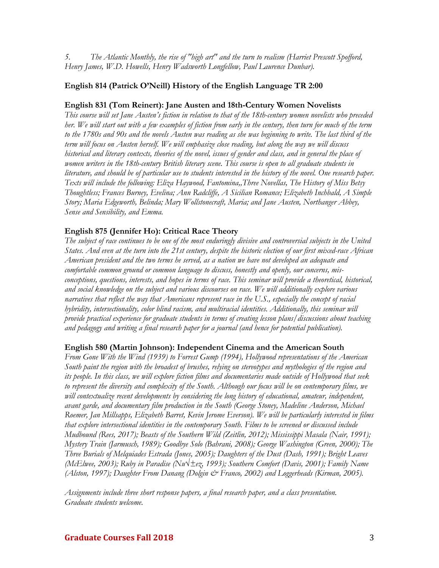*5. The Atlantic Monthly, the rise of "high art" and the turn to realism (Harriet Prescott Spofford, Henry James, W.D. Howells, Henry Wadsworth Longfellow, Paul Laurence Dunbar).* 

## **English 814 (Patrick O'Neill) History of the English Language TR 2:00**

#### **English 831 (Tom Reinert): Jane Austen and 18th-Century Women Novelists**

*This course will set Jane Austen's fiction in relation to that of the 18th-century women novelists who preceded her. We will start out with a few examples of fiction from early in the century, then turn for much of the term to the 1780s and 90s and the novels Austen was reading as she was beginning to write. The last third of the term will focus on Austen herself. We will emphasize close reading, but along the way we will discuss historical and literary contexts, theories of the novel, issues of gender and class, and in general the place of women writers in the 18th-century British literary scene. This course is open to all graduate students in literature, and should be of particular use to students interested in the history of the novel. One research paper. Texts will include the following: Eliza Haywood, Fantomina,'Three Novellas, The History of Miss Betsy Thoughtless; Frances Burney, Evelina; Ann Radcliffe, A Sicilian Romance; Elizabeth Inchbald, A Simple Story; Maria Edgeworth, Belinda; Mary Wollstonecraft, Maria; and Jane Austen, Northanger Abbey, Sense and Sensibility, and Emma.*

#### **English 875 (Jennifer Ho): Critical Race Theory**

*The subject of race continues to be one of the most enduringly divisive and controversial subjects in the United States. And even at the turn into the 21st century, despite the historic election of our first mixed-race African American president and the two terms he served, as a nation we have not developed an adequate and comfortable common ground or common language to discuss, honestly and openly, our concerns, misconceptions, questions, interests, and hopes in terms of race. This seminar will provide a theoretical, historical, and social knowledge on the subject and various discourses on race. We will additionally explore various narratives that reflect the way that Americans represent race in the U.S., especially the concept of racial hybridity, intersectionality, color blind racism, and multiracial identities. Additionally, this seminar will provide practical experience for graduate students in terms of creating lesson plans/discussions about teaching and pedagogy and writing a final research paper for a journal (and hence for potential publication).* 

### **English 580 (Martin Johnson): Independent Cinema and the American South**

*From Gone With the Wind (1939) to Forrest Gump (1994), Hollywood representations of the American South paint the region with the broadest of brushes, relying on stereotypes and mythologies of the region and its people. In this class, we will explore fiction films and documentaries made outside of Hollywood that seek to represent the diversity and complexity of the South. Although our focus will be on contemporary films, we will contextualize recent developments by considering the long history of educational, amateur, independent, avant garde, and documentary film production in the South (George Stoney, Madeline Anderson, Michael Roemer, Jan Millsapps, Elizabeth Barret, Kevin Jerome Everson). We will be particularly interested in films that explore intersectional identities in the contemporary South. Films to be screened or discussed include Mudbound (Rees, 2017); Beasts of the Southern Wild (Zeitlin, 2012); Mississippi Masala (Nair, 1991); Mystery Train (Jarmusch, 1989); Goodbye Solo (Bahrani, 2008); George Washington (Green, 2000); The Three Burials of Melquiades Estrada (Jones, 2005); Daughters of the Dust (Dash, 1991); Bright Leaves (McElwee, 2003); Ruby in Paradise (Nu√±ez, 1993); Southern Comfort (Davis, 2001); Family Name (Alston, 1997); Daughter From Danang (Dolgin & Franco, 2002) and Loggerheads (Kirman, 2005).*

*Assignments include three short response papers, a final research paper, and a class presentation. Graduate students welcome.*